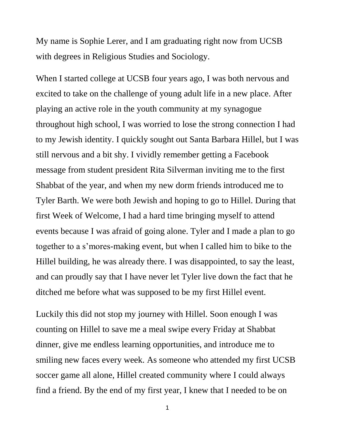My name is Sophie Lerer, and I am graduating right now from UCSB with degrees in Religious Studies and Sociology.

When I started college at UCSB four years ago, I was both nervous and excited to take on the challenge of young adult life in a new place. After playing an active role in the youth community at my synagogue throughout high school, I was worried to lose the strong connection I had to my Jewish identity. I quickly sought out Santa Barbara Hillel, but I was still nervous and a bit shy. I vividly remember getting a Facebook message from student president Rita Silverman inviting me to the first Shabbat of the year, and when my new dorm friends introduced me to Tyler Barth. We were both Jewish and hoping to go to Hillel. During that first Week of Welcome, I had a hard time bringing myself to attend events because I was afraid of going alone. Tyler and I made a plan to go together to a s'mores-making event, but when I called him to bike to the Hillel building, he was already there. I was disappointed, to say the least, and can proudly say that I have never let Tyler live down the fact that he ditched me before what was supposed to be my first Hillel event.

Luckily this did not stop my journey with Hillel. Soon enough I was counting on Hillel to save me a meal swipe every Friday at Shabbat dinner, give me endless learning opportunities, and introduce me to smiling new faces every week. As someone who attended my first UCSB soccer game all alone, Hillel created community where I could always find a friend. By the end of my first year, I knew that I needed to be on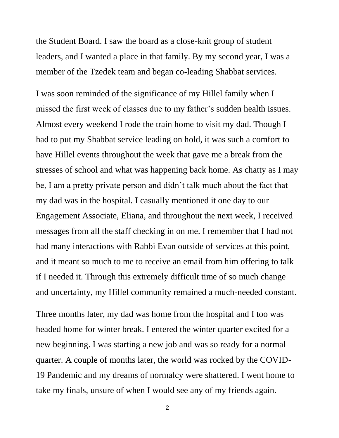the Student Board. I saw the board as a close-knit group of student leaders, and I wanted a place in that family. By my second year, I was a member of the Tzedek team and began co-leading Shabbat services.

I was soon reminded of the significance of my Hillel family when I missed the first week of classes due to my father's sudden health issues. Almost every weekend I rode the train home to visit my dad. Though I had to put my Shabbat service leading on hold, it was such a comfort to have Hillel events throughout the week that gave me a break from the stresses of school and what was happening back home. As chatty as I may be, I am a pretty private person and didn't talk much about the fact that my dad was in the hospital. I casually mentioned it one day to our Engagement Associate, Eliana, and throughout the next week, I received messages from all the staff checking in on me. I remember that I had not had many interactions with Rabbi Evan outside of services at this point, and it meant so much to me to receive an email from him offering to talk if I needed it. Through this extremely difficult time of so much change and uncertainty, my Hillel community remained a much-needed constant.

Three months later, my dad was home from the hospital and I too was headed home for winter break. I entered the winter quarter excited for a new beginning. I was starting a new job and was so ready for a normal quarter. A couple of months later, the world was rocked by the COVID-19 Pandemic and my dreams of normalcy were shattered. I went home to take my finals, unsure of when I would see any of my friends again.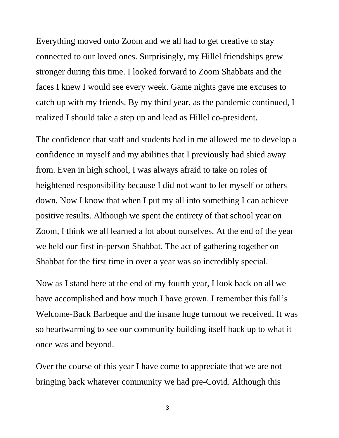Everything moved onto Zoom and we all had to get creative to stay connected to our loved ones. Surprisingly, my Hillel friendships grew stronger during this time. I looked forward to Zoom Shabbats and the faces I knew I would see every week. Game nights gave me excuses to catch up with my friends. By my third year, as the pandemic continued, I realized I should take a step up and lead as Hillel co-president.

The confidence that staff and students had in me allowed me to develop a confidence in myself and my abilities that I previously had shied away from. Even in high school, I was always afraid to take on roles of heightened responsibility because I did not want to let myself or others down. Now I know that when I put my all into something I can achieve positive results. Although we spent the entirety of that school year on Zoom, I think we all learned a lot about ourselves. At the end of the year we held our first in-person Shabbat. The act of gathering together on Shabbat for the first time in over a year was so incredibly special.

Now as I stand here at the end of my fourth year, I look back on all we have accomplished and how much I have grown. I remember this fall's Welcome-Back Barbeque and the insane huge turnout we received. It was so heartwarming to see our community building itself back up to what it once was and beyond.

Over the course of this year I have come to appreciate that we are not bringing back whatever community we had pre-Covid. Although this